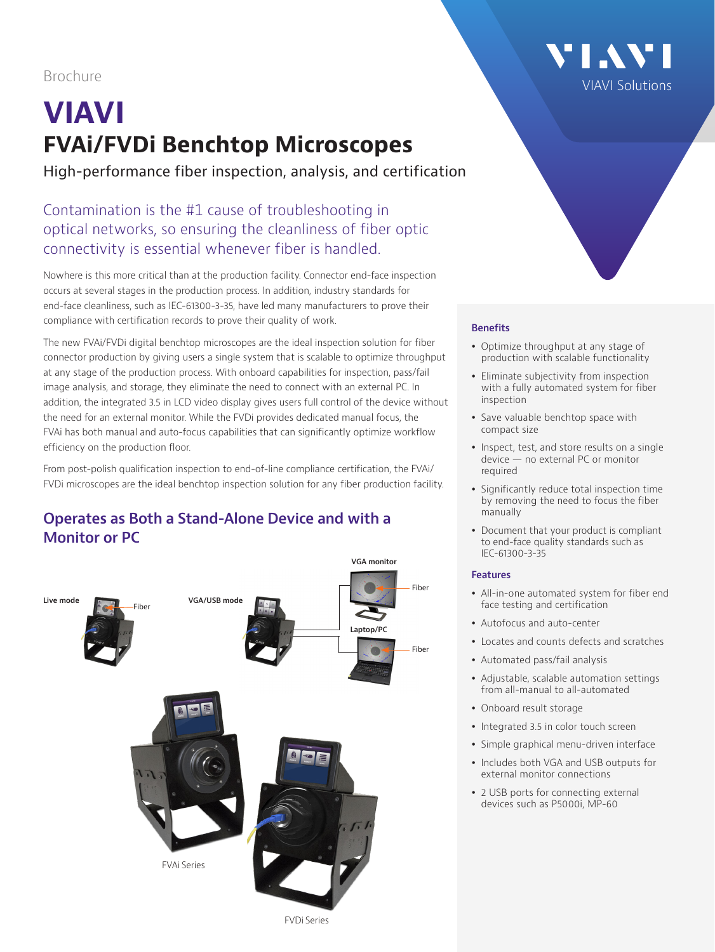Brochure

# **VIAVI FVAi/FVDi Benchtop Microscopes**

High-performance fiber inspection, analysis, and certification

# Contamination is the #1 cause of troubleshooting in optical networks, so ensuring the cleanliness of fiber optic connectivity is essential whenever fiber is handled.

Nowhere is this more critical than at the production facility. Connector end-face inspection occurs at several stages in the production process. In addition, industry standards for end-face cleanliness, such as IEC-61300-3-35, have led many manufacturers to prove their compliance with certification records to prove their quality of work.

The new FVAi/FVDi digital benchtop microscopes are the ideal inspection solution for fiber connector production by giving users a single system that is scalable to optimize throughput at any stage of the production process. With onboard capabilities for inspection, pass/fail image analysis, and storage, they eliminate the need to connect with an external PC. In addition, the integrated 3.5 in LCD video display gives users full control of the device without the need for an external monitor. While the FVDi provides dedicated manual focus, the FVAi has both manual and auto-focus capabilities that can significantly optimize workflow efficiency on the production floor.

From post-polish qualification inspection to end-of-line compliance certification, the FVAi/ FVDi microscopes are the ideal benchtop inspection solution for any fiber production facility.

## **Operates as Both a Stand-Alone Device and with a Monitor or PC**





#### **Benefits**

- Optimize throughput at any stage of production with scalable functionality
- Eliminate subjectivity from inspection with a fully automated system for fiber inspection
- Save valuable benchtop space with compact size
- Inspect, test, and store results on a single device — no external PC or monitor required
- Significantly reduce total inspection time by removing the need to focus the fiber manually
- Document that your product is compliant to end-face quality standards such as IEC-61300-3-35

#### **Features**

- All-in-one automated system for fiber end face testing and certification
- Autofocus and auto-center
- Locates and counts defects and scratches
- Automated pass/fail analysis
- Adjustable, scalable automation settings from all-manual to all-automated
- Onboard result storage
- Integrated 3.5 in color touch screen
- Simple graphical menu-driven interface
- Includes both VGA and USB outputs for external monitor connections
- 2 USB ports for connecting external devices such as P5000i, MP-60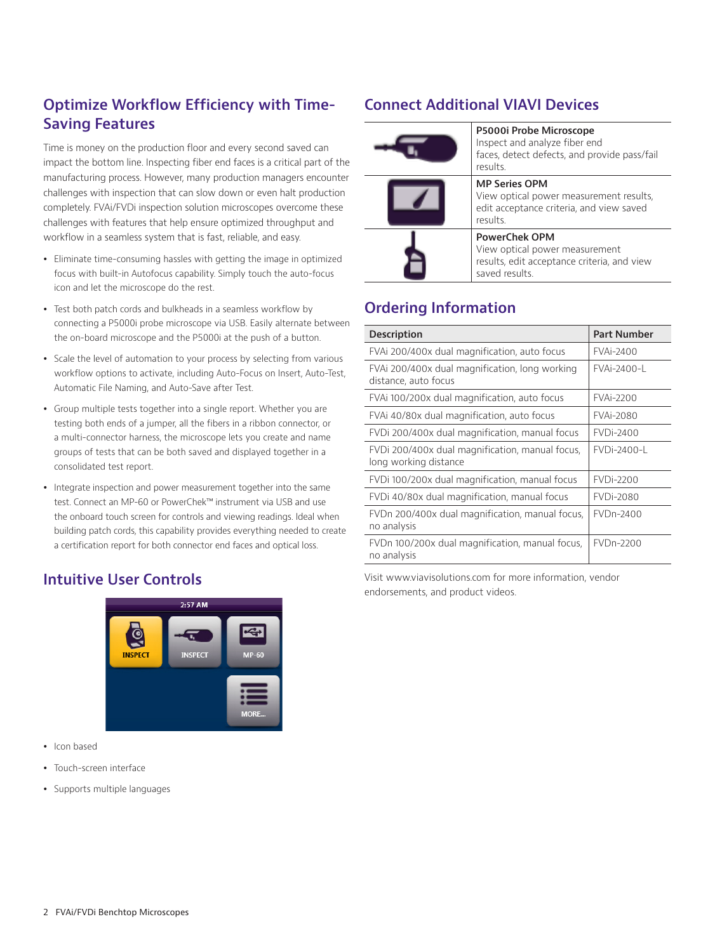# **Optimize Workflow Efficiency with Time-Saving Features**

Time is money on the production floor and every second saved can impact the bottom line. Inspecting fiber end faces is a critical part of the manufacturing process. However, many production managers encounter challenges with inspection that can slow down or even halt production completely. FVAi/FVDi inspection solution microscopes overcome these challenges with features that help ensure optimized throughput and workflow in a seamless system that is fast, reliable, and easy.

- Eliminate time-consuming hassles with getting the image in optimized focus with built-in Autofocus capability. Simply touch the auto-focus icon and let the microscope do the rest.
- Test both patch cords and bulkheads in a seamless workflow by connecting a P5000i probe microscope via USB. Easily alternate between the on-board microscope and the P5000i at the push of a button.
- Scale the level of automation to your process by selecting from various workflow options to activate, including Auto-Focus on Insert, Auto-Test, Automatic File Naming, and Auto-Save after Test.
- Group multiple tests together into a single report. Whether you are testing both ends of a jumper, all the fibers in a ribbon connector, or a multi-connector harness, the microscope lets you create and name groups of tests that can be both saved and displayed together in a consolidated test report.
- Integrate inspection and power measurement together into the same test. Connect an MP-60 or PowerChek™ instrument via USB and use the onboard touch screen for controls and viewing readings. Ideal when building patch cords, this capability provides everything needed to create a certification report for both connector end faces and optical loss.

# **Connect Additional VIAVI Devices**

| P5000i Probe Microscope<br>Inspect and analyze fiber end<br>faces, detect defects, and provide pass/fail<br>results.    |
|-------------------------------------------------------------------------------------------------------------------------|
| <b>MP Series OPM</b><br>View optical power measurement results,<br>edit acceptance criteria, and view saved<br>results. |
| <b>PowerChek OPM</b><br>View optical power measurement<br>results, edit acceptance criteria, and view<br>saved results. |

# **Ordering Information**

| <b>Description</b>                                                       | <b>Part Number</b> |
|--------------------------------------------------------------------------|--------------------|
| FVAI 200/400x dual magnification, auto focus                             | <b>FVAi-2400</b>   |
| FVAI 200/400x dual magnification, long working<br>distance, auto focus   | <b>FVAi-2400-L</b> |
| FVAi 100/200x dual magnification, auto focus                             | <b>FVAi-2200</b>   |
| FVAi 40/80x dual magnification, auto focus                               | <b>FVAi-2080</b>   |
| FVDi 200/400x dual magnification, manual focus                           | <b>FVDi-2400</b>   |
| FVDi 200/400x dual magnification, manual focus,<br>long working distance | FVDi-2400-L        |
| FVDi 100/200x dual magnification, manual focus                           | <b>FVDi-2200</b>   |
| FVDi 40/80x dual magnification, manual focus                             | <b>FVDi-2080</b>   |
| FVDn 200/400x dual magnification, manual focus,<br>no analysis           | FVDn-2400          |
| FVDn 100/200x dual magnification, manual focus,<br>no analysis           | FVDn-2200          |

Visit www.viavisolutions.com for more information, vendor endorsements, and product videos.

# **Intuitive User Controls**



- Icon based
- Touch-screen interface
- Supports multiple languages